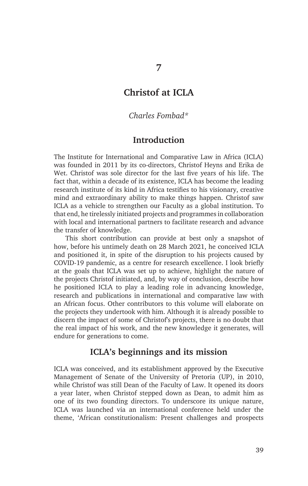## **Christof at ICLA**

#### *Charles Fombad\**

### **Introduction**

The Institute for International and Comparative Law in Africa (ICLA) was founded in 2011 by its co-directors, Christof Heyns and Erika de Wet. Christof was sole director for the last five years of his life. The fact that, within a decade of its existence, ICLA has become the leading research institute of its kind in Africa testifies to his visionary, creative mind and extraordinary ability to make things happen. Christof saw ICLA as a vehicle to strengthen our Faculty as a global institution. To that end, he tirelessly initiated projects and programmes in collaboration with local and international partners to facilitate research and advance the transfer of knowledge.

This short contribution can provide at best only a snapshot of how, before his untimely death on 28 March 2021, he conceived ICLA and positioned it, in spite of the disruption to his projects caused by COVID-19 pandemic, as a centre for research excellence. I look briefly at the goals that ICLA was set up to achieve, highlight the nature of the projects Christof initiated, and, by way of conclusion, describe how he positioned ICLA to play a leading role in advancing knowledge, research and publications in international and comparative law with an African focus. Other contributors to this volume will elaborate on the projects they undertook with him. Although it is already possible to discern the impact of some of Christof's projects, there is no doubt that the real impact of his work, and the new knowledge it generates, will endure for generations to come.

# **ICLA's beginnings and its mission**

ICLA was conceived, and its establishment approved by the Executive Management of Senate of the University of Pretoria (UP), in 2010, while Christof was still Dean of the Faculty of Law. It opened its doors a year later, when Christof stepped down as Dean, to admit him as one of its two founding directors. To underscore its unique nature, ICLA was launched via an international conference held under the theme, 'African constitutionalism: Present challenges and prospects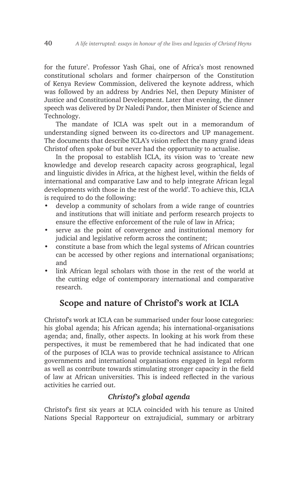for the future'. Professor Yash Ghai, one of Africa's most renowned constitutional scholars and former chairperson of the Constitution of Kenya Review Commission, delivered the keynote address, which was followed by an address by Andries Nel, then Deputy Minister of Justice and Constitutional Development. Later that evening, the dinner speech was delivered by Dr Naledi Pandor, then Minister of Science and Technology.

The mandate of ICLA was spelt out in a memorandum of understanding signed between its co-directors and UP management. The documents that describe ICLA's vision reflect the many grand ideas Christof often spoke of but never had the opportunity to actualise.

In the proposal to establish ICLA, its vision was to 'create new knowledge and develop research capacity across geographical, legal and linguistic divides in Africa, at the highest level, within the fields of international and comparative Law and to help integrate African legal developments with those in the rest of the world'. To achieve this, ICLA is required to do the following:

- develop a community of scholars from a wide range of countries and institutions that will initiate and perform research projects to ensure the effective enforcement of the rule of law in Africa;
- serve as the point of convergence and institutional memory for judicial and legislative reform across the continent;
- constitute a base from which the legal systems of African countries can be accessed by other regions and international organisations; and
- link African legal scholars with those in the rest of the world at the cutting edge of contemporary international and comparative research.

### **Scope and nature of Christof's work at ICLA**

Christof's work at ICLA can be summarised under four loose categories: his global agenda; his African agenda; his international-organisations agenda; and, finally, other aspects. In looking at his work from these perspectives, it must be remembered that he had indicated that one of the purposes of ICLA was to provide technical assistance to African governments and international organisations engaged in legal reform as well as contribute towards stimulating stronger capacity in the field of law at African universities. This is indeed reflected in the various activities he carried out.

#### *Christof's global agenda*

Christof's first six years at ICLA coincided with his tenure as United Nations Special Rapporteur on extrajudicial, summary or arbitrary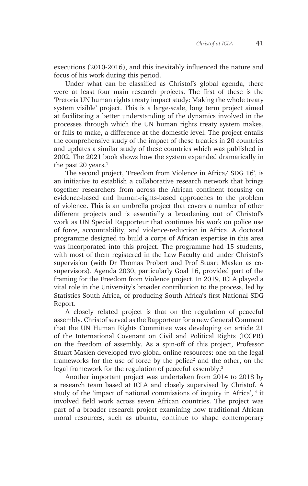executions (2010-2016), and this inevitably influenced the nature and focus of his work during this period.

Under what can be classified as Christof's global agenda, there were at least four main research projects. The first of these is the 'Pretoria UN human rights treaty impact study: Making the whole treaty system visible' project. This is a large-scale, long term project aimed at facilitating a better understanding of the dynamics involved in the processes through which the UN human rights treaty system makes, or fails to make, a difference at the domestic level. The project entails the comprehensive study of the impact of these treaties in 20 countries and updates a similar study of these countries which was published in 2002. The 2021 book shows how the system expanded dramatically in the past  $20$  years.<sup>1</sup>

The second project, 'Freedom from Violence in Africa/ SDG 16', is an initiative to establish a collaborative research network that brings together researchers from across the African continent focusing on evidence-based and human-rights-based approaches to the problem of violence. This is an umbrella project that covers a number of other different projects and is essentially a broadening out of Christof's work as UN Special Rapporteur that continues his work on police use of force, accountability, and violence-reduction in Africa. A doctoral programme designed to build a corps of African expertise in this area was incorporated into this project. The programme had 15 students, with most of them registered in the Law Faculty and under Christof's supervision (with Dr Thomas Probert and Prof Stuart Maslen as cosupervisors). Agenda 2030, particularly Goal 16, provided part of the framing for the Freedom from Violence project. In 2019, ICLA played a vital role in the University's broader contribution to the process, led by Statistics South Africa, of producing South Africa's first National SDG Report.

A closely related project is that on the regulation of peaceful assembly. Christof served as the Rapporteur for a new General Comment that the UN Human Rights Committee was developing on article 21 of the International Covenant on Civil and Political Rights (ICCPR) on the freedom of assembly. As a spin-off of this project, Professor Stuart Maslen developed two global online resources: one on the legal frameworks for the use of force by the police<sup>2</sup> and the other, on the legal framework for the regulation of peaceful assembly.<sup>3</sup>

Another important project was undertaken from 2014 to 2018 by a research team based at ICLA and closely supervised by Christof. A study of the 'impact of national commissions of inquiry in Africa', 4 it involved field work across seven African countries. The project was part of a broader research project examining how traditional African moral resources, such as ubuntu, continue to shape contemporary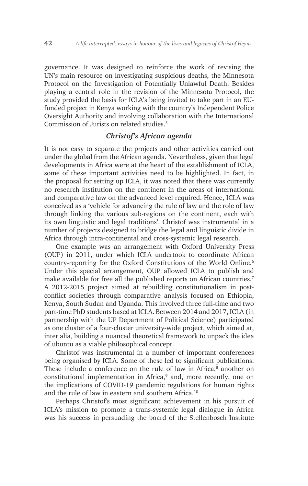governance. It was designed to reinforce the work of revising the UN's main resource on investigating suspicious deaths, the Minnesota Protocol on the Investigation of Potentially Unlawful Death. Besides playing a central role in the revision of the Minnesota Protocol, the study provided the basis for ICLA's being invited to take part in an EUfunded project in Kenya working with the country's Independent Police Oversight Authority and involving collaboration with the International Commission of Jurists on related studies.5

#### *Christof's African agenda*

It is not easy to separate the projects and other activities carried out under the global from the African agenda. Nevertheless, given that legal developments in Africa were at the heart of the establishment of ICLA, some of these important activities need to be highlighted. In fact, in the proposal for setting up ICLA, it was noted that there was currently no research institution on the continent in the areas of international and comparative law on the advanced level required. Hence, ICLA was conceived as a 'vehicle for advancing the rule of law and the role of law through linking the various sub-regions on the continent, each with its own linguistic and legal traditions'. Christof was instrumental in a number of projects designed to bridge the legal and linguistic divide in Africa through intra-continental and cross-systemic legal research.

One example was an arrangement with Oxford University Press (OUP) in 2011, under which ICLA undertook to coordinate African country-reporting for the Oxford Constitutions of the World Online.<sup>6</sup> Under this special arrangement, OUP allowed ICLA to publish and make available for free all the published reports on African countries.<sup>7</sup> A 2012-2015 project aimed at rebuilding constitutionalism in postconflict societies through comparative analysis focused on Ethiopia, Kenya, South Sudan and Uganda. This involved three full-time and two part-time PhD students based at ICLA. Between 2014 and 2017, ICLA (in partnership with the UP Department of Political Science) participated as one cluster of a four-cluster university-wide project, which aimed at, inter alia, building a nuanced theoretical framework to unpack the idea of ubuntu as a viable philosophical concept.

Christof was instrumental in a number of important conferences being organised by ICLA. Some of these led to significant publications. These include a conference on the rule of law in Africa,<sup>8</sup> another on constitutional implementation in Africa,<sup>9</sup> and, more recently, one on the implications of COVID-19 pandemic regulations for human rights and the rule of law in eastern and southern Africa.<sup>10</sup>

Perhaps Christof's most significant achievement in his pursuit of ICLA's mission to promote a trans-systemic legal dialogue in Africa was his success in persuading the board of the Stellenbosch Institute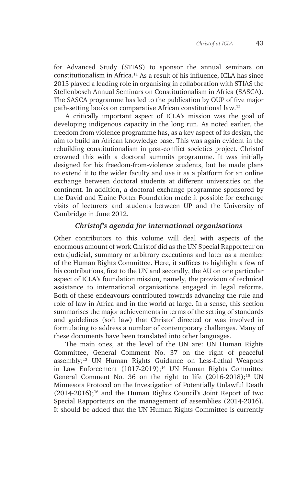for Advanced Study (STIAS) to sponsor the annual seminars on constitutionalism in Africa.11 As a result of his influence, ICLA has since 2013 played a leading role in organising in collaboration with STIAS the Stellenbosch Annual Seminars on Constitutionalism in Africa (SASCA). The SASCA programme has led to the publication by OUP of five major path-setting books on comparative African constitutional law.12

A critically important aspect of ICLA's mission was the goal of developing indigenous capacity in the long run. As noted earlier, the freedom from violence programme has, as a key aspect of its design, the aim to build an African knowledge base. This was again evident in the rebuilding constitutionalism in post-conflict societies project. Christof crowned this with a doctoral summits programme. It was initially designed for his freedom-from-violence students, but he made plans to extend it to the wider faculty and use it as a platform for an online exchange between doctoral students at different universities on the continent. In addition, a doctoral exchange programme sponsored by the David and Elaine Potter Foundation made it possible for exchange visits of lecturers and students between UP and the University of Cambridge in June 2012.

### *Christof's agenda for international organisations*

Other contributors to this volume will deal with aspects of the enormous amount of work Christof did as the UN Special Rapporteur on extrajudicial, summary or arbitrary executions and later as a member of the Human Rights Committee. Here, it suffices to highlight a few of his contributions, first to the UN and secondly, the AU on one particular aspect of ICLA's foundation mission, namely, the provision of technical assistance to international organisations engaged in legal reforms. Both of these endeavours contributed towards advancing the rule and role of law in Africa and in the world at large. In a sense, this section summarises the major achievements in terms of the setting of standards and guidelines (soft law) that Christof directed or was involved in formulating to address a number of contemporary challenges. Many of these documents have been translated into other languages.

The main ones, at the level of the UN are: UN Human Rights Committee, General Comment No. 37 on the right of peaceful assembly;13 UN Human Rights Guidance on Less-Lethal Weapons in Law Enforcement  $(1017-2019)$ ;<sup>14</sup> UN Human Rights Committee General Comment No. 36 on the right to life  $(2016-2018)$ ;<sup>15</sup> UN Minnesota Protocol on the Investigation of Potentially Unlawful Death  $(2014-2016);$ <sup>16</sup> and the Human Rights Council's Joint Report of two Special Rapporteurs on the management of assemblies (2014-2016). It should be added that the UN Human Rights Committee is currently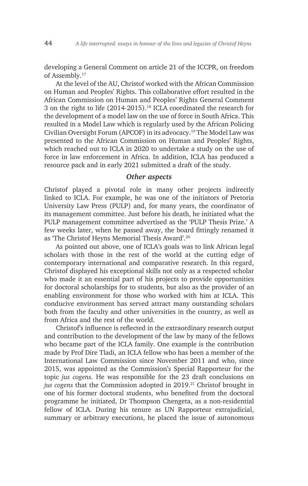developing a General Comment on article 21 of the ICCPR, on freedom of Assembly.17

At the level of the AU, Christof worked with the African Commission on Human and Peoples' Rights. This collaborative effort resulted in the African Commission on Human and Peoples' Rights General Comment 3 on the right to life (2014-2015).18 ICLA coordinated the research for the development of a model law on the use of force in South Africa. This resulted in a Model Law which is regularly used by the African Policing Civilian Oversight Forum (APCOF) in its advocacy.19 The Model Law was presented to the African Commission on Human and Peoples' Rights, which reached out to ICLA in 2020 to undertake a study on the use of force in law enforcement in Africa. In addition, ICLA has produced a resource pack and in early 2021 submitted a draft of the study.

#### *Other aspects*

Christof played a pivotal role in many other projects indirectly linked to ICLA. For example, he was one of the initiators of Pretoria University Law Press (PULP) and, for many years, the coordinator of its management committee. Just before his death, he initiated what the PULP management committee advertised as the 'PULP Thesis Prize.' A few weeks later, when he passed away, the board fittingly renamed it as 'The Christof Heyns Memorial Thesis Award'.20

As pointed out above, one of ICLA's goals was to link African legal scholars with those in the rest of the world at the cutting edge of contemporary international and comparative research. In this regard, Christof displayed his exceptional skills not only as a respected scholar who made it an essential part of his projects to provide opportunities for doctoral scholarships for to students, but also as the provider of an enabling environment for those who worked with him at ICLA. This conducive environment has served attract many outstanding scholars both from the faculty and other universities in the country, as well as from Africa and the rest of the world.

Christof's influence is reflected in the extraordinary research output and contribution to the development of the law by many of the fellows who became part of the ICLA family. One example is the contribution made by Prof Dire Tladi, an ICLA fellow who has been a member of the International Law Commission since November 2011 and who, since 2015, was appointed as the Commission's Special Rapporteur for the topic *jus cogens.* He was responsible for the 23 draft conclusions on *jus cogens* that the Commission adopted in 2019.<sup>21</sup> Christof brought in one of his former doctoral students, who benefited from the doctoral programme he initiated, Dr Thompson Chengeta, as a non-residential fellow of ICLA. During his tenure as UN Rapporteur extrajudicial, summary or arbitrary executions, he placed the issue of autonomous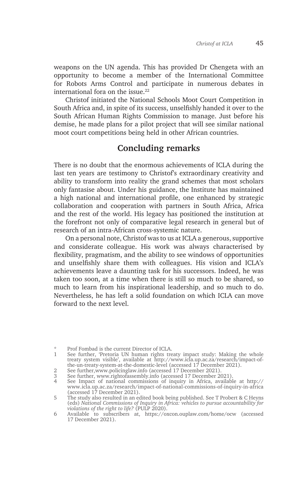weapons on the UN agenda. This has provided Dr Chengeta with an opportunity to become a member of the International Committee for Robots Arms Control and participate in numerous debates in international fora on the issue.<sup>22</sup>

Christof initiated the National Schools Moot Court Competition in South Africa and, in spite of its success, unselfishly handed it over to the South African Human Rights Commission to manage. Just before his demise, he made plans for a pilot project that will see similar national moot court competitions being held in other African countries.

### **Concluding remarks**

There is no doubt that the enormous achievements of ICLA during the last ten years are testimony to Christof's extraordinary creativity and ability to transform into reality the grand schemes that most scholars only fantasise about. Under his guidance, the Institute has maintained a high national and international profile, one enhanced by strategic collaboration and cooperation with partners in South Africa, Africa and the rest of the world. His legacy has positioned the institution at the forefront not only of comparative legal research in general but of research of an intra-African cross-systemic nature.

On a personal note, Christof was to us at ICLA a generous, supportive and considerate colleague. His work was always characterised by flexibility, pragmatism, and the ability to see windows of opportunities and unselfishly share them with colleagues. His vision and ICLA's achievements leave a daunting task for his successors. Indeed, he was taken too soon, at a time when there is still so much to be shared, so much to learn from his inspirational leadership, and so much to do. Nevertheless, he has left a solid foundation on which ICLA can move forward to the next level.

<sup>\*</sup> Prof Fombad is the current Director of ICLA.

<sup>1</sup> See further, 'Pretoria UN human rights treaty impact study: Making the whole treaty system visible', available at http://www.icla.up.ac.za/research/impact-ofthe-un-treaty-system-at-the-domestic-level (accessed 17 December 2021).

<sup>2</sup> See further,www.policinglaw.info (accessed 17 December 2021).

<sup>3</sup> See further, www.rightofassembly.info (accessed 17 December 2021).

<sup>4</sup> See Impact of national commissions of inquiry in Africa, available at http:// www.icla.up.ac.za/research/impact-of-national-commissions-of-inquiry-in-africa (accessed 17 December 2021).

<sup>5</sup> The study also resulted in an edited book being published. See T Probert & C Heyns (eds) *National Commissions of Inquiry in Africa: vehicles to pursue accountability for violations of the right to life?* (PULP 2020).

<sup>6</sup> Available to subscribers at, https://oxcon.ouplaw.com/home/ocw (accessed 17 December 2021).